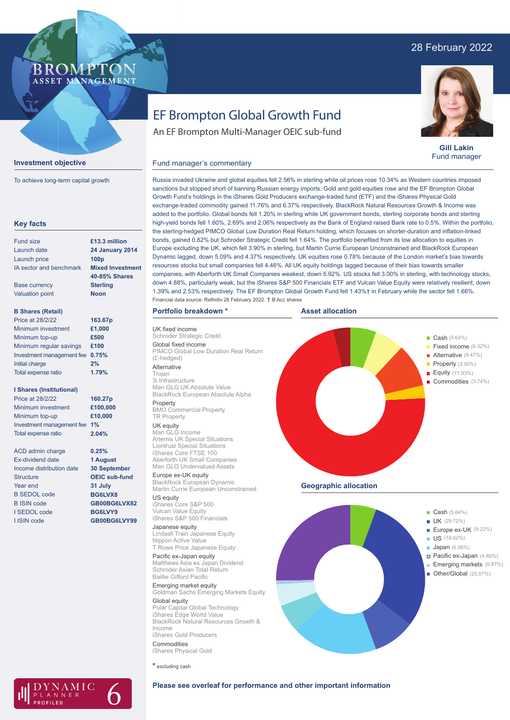## 28 February 2022

## **BROMPTO** ASSET MANAGEMENT



To achieve long-term capital growth

| £13.3 million<br><b>24 January 2014</b><br>100 <sub>p</sub><br><b>Mixed Investment</b><br><b>40-85% Shares</b><br><b>Sterling</b><br><b>Noon</b><br>163.67p<br>£1,000<br>£500<br>£100<br>0.75%<br>1.79% |
|---------------------------------------------------------------------------------------------------------------------------------------------------------------------------------------------------------|
|                                                                                                                                                                                                         |
|                                                                                                                                                                                                         |
|                                                                                                                                                                                                         |
|                                                                                                                                                                                                         |
|                                                                                                                                                                                                         |
|                                                                                                                                                                                                         |
|                                                                                                                                                                                                         |
|                                                                                                                                                                                                         |
|                                                                                                                                                                                                         |
|                                                                                                                                                                                                         |
|                                                                                                                                                                                                         |
|                                                                                                                                                                                                         |
|                                                                                                                                                                                                         |
|                                                                                                                                                                                                         |
|                                                                                                                                                                                                         |
| 160.27p                                                                                                                                                                                                 |
| £100,000                                                                                                                                                                                                |
| £10,000                                                                                                                                                                                                 |
|                                                                                                                                                                                                         |
| 2.04%                                                                                                                                                                                                   |
| 0.25%                                                                                                                                                                                                   |
| 1 August                                                                                                                                                                                                |
| <b>30 September</b>                                                                                                                                                                                     |
| <b>OEIC sub-fund</b>                                                                                                                                                                                    |
| 31 July                                                                                                                                                                                                 |
| BG6LVX8                                                                                                                                                                                                 |
| GB00BG6LVX82                                                                                                                                                                                            |
| BG6LVY9                                                                                                                                                                                                 |
| GB00BG6LVY99                                                                                                                                                                                            |
|                                                                                                                                                                                                         |

# EF Brompton Global Growth Fund

An EF Brompton Multi-Manager OEIC sub-fund



**Gill Lakin** Fund manager

## Fund manager's commentary

Russia invaded Ukraine and global equities fell 2.56% in sterling while oil prices rose 10.34% as Western countries imposed sanctions but stopped short of banning Russian energy imports. Gold and gold equities rose and the EF Brompton Global Growth Fund's holdings in the iShares Gold Producers exchange-traded fund (ETF) and the iShares Physical Gold exchange-traded commodity gained 11.76% and 6.37% respectively. BlackRock Natural Resources Growth & Income was added to the portfolio. Global bonds fell 1.20% in sterling while UK government bonds, sterling corporate bonds and sterling high-yield bonds fell 1.60%, 2.69% and 2.06% respectively as the Bank of England raised Bank rate to 0.5%. Within the portfolio, the sterling-hedged PIMCO Global Low Duration Real Return holding, which focuses on shorter-duration and inflation-linked bonds, gained 0.82% but Schroder Strategic Credit fell 1.64%. The portfolio benefited from its low allocation to equities in Europe excluding the UK, which fell 3.90% in sterling, but Martin Currie European Unconstrained and BlackRock European Dynamic lagged, down 5.09% and 4.37% respectively. UK equities rose 0.78% because of the London market's bias towards resources stocks but small companies fell 4.46%. All UK equity holdings lagged because of their bias towards smaller companies, with Aberforth UK Small Companies weakest, down 5.92%. US stocks fell 3.00% in sterling, with technology stocks, down 4.88%, particularly weak, but the iShares S&P 500 Financials ETF and Vulcan Value Equity were relatively resilient, down 1.39% and 2.53% respectively. The EF Brompton Global Growth Fund fell 1.43%† in February while the sector fell 1.66%. Financial data source: Refinitiv 28 February 2022. † B Acc shares

## **Portfolio breakdown \***

UK fixed income Schroder Strategic Credit Global fixed income PIMCO Global Low Duration Real Return (£-hedged)

#### Alternative Trojan

3i Infrastructure Man GLG UK Absolute Value BlackRock European Absolute Alpha Property BMO Commercial Property

#### TR Property UK equity

Man GLG Income Artemis UK Special Situations Liontrust Special Situations iShares Core FTSE 100 Aberforth UK Small Companies Man GLG Undervalued Assets

#### Europe ex-UK equity BlackRock European Dynamic Martin Currie European Unconstrained

US equity iShares Core S&P 500 Vulcan Value Equity iShares S&P 500 Financials

#### Japanese equity Lindsell Train Japanese Equity Nippon Active Value

T Rowe Price Japanese Equity Pacific ex-Japan equity Matthews Asia ex Japan Dividend Schroder Asian Total Return Baillie Gifford Pacific

Emerging market equity Goldman Sachs Emerging Markets Equity

#### Global equity Polar Capital Global Technology iShares Edge World Value BlackRock Natural Resources Growth & Income

iShares Gold Producers Commodities iShares Physical Gold

**\*** excluding cash



**Geographic allocation**





## **Please see overleaf for performance and other important information**